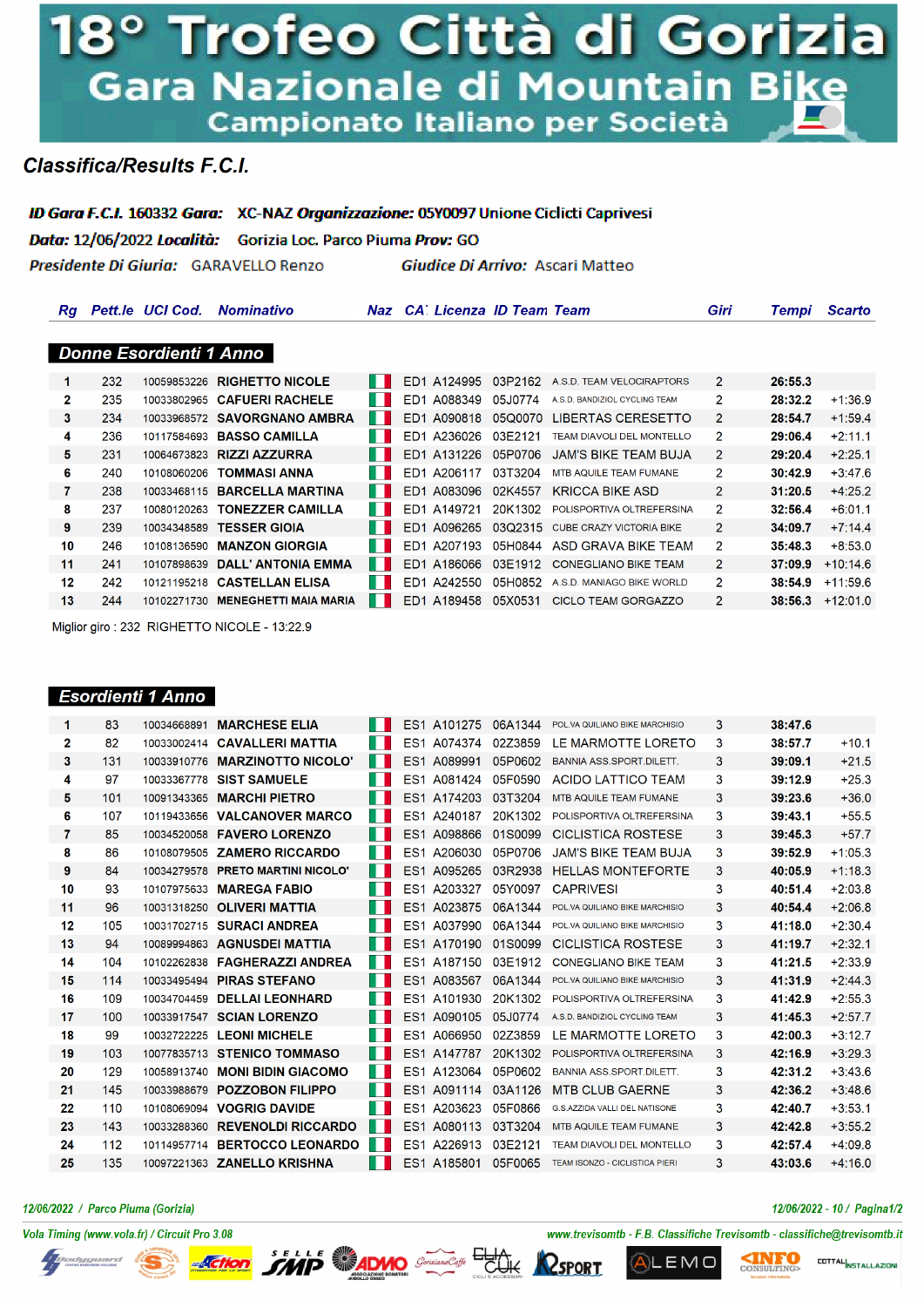# 8º Trofeo Città di Gorizia Gara Nazionale di Mountain Bike Campionato Italiano per Società

# **Classifica/Results F.C.I.**

ID Gara F.C.I. 160332 Gara: XC-NAZ Organizzazione: 05Y0097 Unione Ciclicti Caprivesi

Data: 12/06/2022 Località: Gorizia Loc. Parco Piuma Prov: GO

Presidente Di Giuria: GARAVELLO Renzo

Giudice Di Arrivo: Ascari Matteo

| <b>Donne Esordienti 1 Anno</b><br>232<br>10059853226 RIGHETTO NICOLE<br>ED1 A124995<br>03P2162<br>$\overline{2}$<br>26:55.3<br>A.S.D. TEAM VELOCIRAPTORS<br>1<br>2<br>235<br>ED1 A088349<br>$\overline{2}$<br>10033802965 CAFUERI RACHELE<br>. .<br>05J0774<br>28:32.2<br>A.S.D. BANDIZIOL CYCLING TEAM<br>3<br>ED1 A090818<br>234<br>10033968572 SAVORGNANO AMBRA<br>ш<br>05Q0070 LIBERTAS CERESETTO<br>2<br>28:54.7<br>4<br>236<br>ED1 A236026<br>29:06.4<br>10117584693 BASSO CAMILLA<br>ш<br>03E2121<br>$\mathcal{P}$<br>TEAM DIAVOLI DEL MONTELLO<br>5<br>H<br>231<br>ED1 A131226<br>05P0706<br>29:20.4<br>10064673823 RIZZI AZZURRA<br>JAM'S BIKE TEAM BUJA<br>$\overline{2}$<br>6<br>$\overline{2}$<br>240<br>30:42.9<br><b>TOMMASI ANNA</b><br>ED1 A206117<br>03T3204<br>MTB AQUILE TEAM FUMANE<br>10108060206<br>H | <b>Scarto</b> |
|-----------------------------------------------------------------------------------------------------------------------------------------------------------------------------------------------------------------------------------------------------------------------------------------------------------------------------------------------------------------------------------------------------------------------------------------------------------------------------------------------------------------------------------------------------------------------------------------------------------------------------------------------------------------------------------------------------------------------------------------------------------------------------------------------------------------------------|---------------|
|                                                                                                                                                                                                                                                                                                                                                                                                                                                                                                                                                                                                                                                                                                                                                                                                                             |               |
|                                                                                                                                                                                                                                                                                                                                                                                                                                                                                                                                                                                                                                                                                                                                                                                                                             |               |
|                                                                                                                                                                                                                                                                                                                                                                                                                                                                                                                                                                                                                                                                                                                                                                                                                             |               |
|                                                                                                                                                                                                                                                                                                                                                                                                                                                                                                                                                                                                                                                                                                                                                                                                                             | $+1:36.9$     |
|                                                                                                                                                                                                                                                                                                                                                                                                                                                                                                                                                                                                                                                                                                                                                                                                                             | $+1.59.4$     |
|                                                                                                                                                                                                                                                                                                                                                                                                                                                                                                                                                                                                                                                                                                                                                                                                                             | $+2:11.1$     |
|                                                                                                                                                                                                                                                                                                                                                                                                                                                                                                                                                                                                                                                                                                                                                                                                                             | $+2:25.1$     |
|                                                                                                                                                                                                                                                                                                                                                                                                                                                                                                                                                                                                                                                                                                                                                                                                                             | $+3:47.6$     |
| 7<br>238<br>10033468115 BARCELLA MARTINA<br>. .<br>ED1 A083096<br>02K4557<br><b>KRICCA BIKE ASD</b><br>2<br>31:20.5                                                                                                                                                                                                                                                                                                                                                                                                                                                                                                                                                                                                                                                                                                         | $+4:25.2$     |
| 8<br>237<br>32:56.4<br><b>TONEZZER CAMILLA</b><br>ED1 A149721<br>20K1302<br>2<br>a sa<br>POLISPORTIVA OLTREFERSINA<br>10080120263                                                                                                                                                                                                                                                                                                                                                                                                                                                                                                                                                                                                                                                                                           | $+6:01.1$     |
| 9<br>239<br>H<br>03Q2315 CUBE CRAZY VICTORIA BIKE<br>34:09.7<br>10034348589 TESSER GIOIA<br>ED1 A096265<br>$\mathcal{P}$                                                                                                                                                                                                                                                                                                                                                                                                                                                                                                                                                                                                                                                                                                    | $+7:14.4$     |
| 10<br>246<br>ш<br><b>MANZON GIORGIA</b><br>ED1 A207193<br>05H0844 ASD GRAVA BIKE TEAM<br>2<br>35:48.3<br>10108136590                                                                                                                                                                                                                                                                                                                                                                                                                                                                                                                                                                                                                                                                                                        | $+8:53.0$     |
| 11<br>241<br>$\overline{2}$<br>10107898639 DALL' ANTONIA EMMA<br>ED1 A186066<br>03E1912<br>37:09.9<br><b>CONEGLIANO BIKE TEAM</b><br>a sa                                                                                                                                                                                                                                                                                                                                                                                                                                                                                                                                                                                                                                                                                   | $+10:14.6$    |
| 12<br>242<br>10121195218 CASTELLAN ELISA<br>w<br>$\overline{2}$<br>ED1 A242550<br>05H0852<br>38:54.9<br>A.S.D. MANIAGO BIKE WORLD                                                                                                                                                                                                                                                                                                                                                                                                                                                                                                                                                                                                                                                                                           | $+11:59.6$    |
| 13<br>ED1 A189458<br>244<br><b>MENEGHETTI MAIA MARIA</b><br>05X0531<br>$\overline{2}$<br>38:56.3<br>ш<br><b>CICLO TEAM GORGAZZO</b><br>10102271730                                                                                                                                                                                                                                                                                                                                                                                                                                                                                                                                                                                                                                                                          | $+12:01.0$    |

Miglior giro: 232 RIGHETTO NICOLE - 13:22.9

## Esordienti 1 Anno

| 1  | 83  | 10034668891 | <b>MARCHESE ELIA</b>         |    |                 | ES1 A101275 | 06A1344 | POL.VA QUILIANO BIKE MARCHISIO   | 3 | 38:47.6 |           |
|----|-----|-------------|------------------------------|----|-----------------|-------------|---------|----------------------------------|---|---------|-----------|
| 2  | 82  | 10033002414 | <b>CAVALLERI MATTIA</b>      |    | ES <sub>1</sub> | A074374     | 02Z3859 | LE MARMOTTE LORETO               | 3 | 38:57.7 | $+10.1$   |
| 3  | 131 | 10033910776 | <b>MARZINOTTO NICOLO'</b>    | H  |                 | ES1 A089991 | 05P0602 | <b>BANNIA ASS.SPORT.DILETT.</b>  | 3 | 39:09.1 | $+21.5$   |
| 4  | 97  | 10033367778 | <b>SIST SAMUELE</b>          |    | ES <sub>1</sub> | A081424     | 05F0590 | <b>ACIDO LATTICO TEAM</b>        | 3 | 39:12.9 | $+25.3$   |
| 5. | 101 | 10091343365 | <b>MARCHI PIETRO</b>         | H  |                 | ES1 A174203 | 03T3204 | MTB AQUILE TEAM FUMANE           | 3 | 39:23.6 | $+36.0$   |
| 6  | 107 | 10119433656 | <b>VALCANOVER MARCO</b>      | H  |                 | ES1 A240187 | 20K1302 | POLISPORTIVA OLTREFERSINA        | 3 | 39:43.1 | $+55.5$   |
| 7  | 85  | 10034520058 | <b>FAVERO LORENZO</b>        | H  |                 | ES1 A098866 | 01S0099 | <b>CICLISTICA ROSTESE</b>        | 3 | 39:45.3 | $+57.7$   |
| 8  | 86  | 10108079505 | <b>ZAMERO RICCARDO</b>       |    |                 | ES1 A206030 | 05P0706 | <b>JAM'S BIKE TEAM BUJA</b>      | 3 | 39:52.9 | $+1:05.3$ |
| 9  | 84  | 10034279578 | <b>PRETO MARTINI NICOLO'</b> | ш  |                 | ES1 A095265 | 03R2938 | <b>HELLAS MONTEFORTE</b>         | 3 | 40:05.9 | $+1:18.3$ |
| 10 | 93  | 10107975633 | <b>MAREGA FABIO</b>          |    |                 | ES1 A203327 | 05Y0097 | <b>CAPRIVESI</b>                 | 3 | 40:51.4 | $+2:03.8$ |
| 11 | 96  |             | 10031318250 OLIVERI MATTIA   |    |                 | ES1 A023875 | 06A1344 | POL.VA QUILIANO BIKE MARCHISIO   | 3 | 40:54.4 | $+2:06.8$ |
| 12 | 105 |             | 10031702715 SURACI ANDREA    | w  |                 | ES1 A037990 | 06A1344 | POL.VA QUILIANO BIKE MARCHISIO   | 3 | 41:18.0 | $+2:30.4$ |
| 13 | 94  |             | 10089994863 AGNUSDEI MATTIA  | H. |                 | ES1 A170190 | 01S0099 | <b>CICLISTICA ROSTESE</b>        | 3 | 41:19.7 | $+2:32.1$ |
| 14 | 104 | 10102262838 | <b>FAGHERAZZI ANDREA</b>     | ш  |                 | ES1 A187150 | 03E1912 | <b>CONEGLIANO BIKE TEAM</b>      | 3 | 41:21.5 | $+2:33.9$ |
| 15 | 114 |             | 10033495494 PIRAS STEFANO    | H. |                 | ES1 A083567 | 06A1344 | POL.VA QUILIANO BIKE MARCHISIO   | 3 | 41:31.9 | $+2:44.3$ |
| 16 | 109 | 10034704459 | <b>DELLAI LEONHARD</b>       |    |                 | ES1 A101930 | 20K1302 | POLISPORTIVA OLTREFERSINA        | 3 | 41:42.9 | $+2:55.3$ |
| 17 | 100 |             | 10033917547 SCIAN LORENZO    | H. |                 | ES1 A090105 | 05J0774 | A.S.D. BANDIZIOL CYCLING TEAM    | 3 | 41:45.3 | $+2:57.7$ |
| 18 | 99  |             | 10032722225 LEONI MICHELE    |    |                 | ES1 A066950 | 02Z3859 | LE MARMOTTE LORETO               | 3 | 42:00.3 | $+3:12.7$ |
| 19 | 103 | 10077835713 | <b>STENICO TOMMASO</b>       | ш  |                 | ES1 A147787 | 20K1302 | POLISPORTIVA OLTREFERSINA        | 3 | 42:16.9 | $+3:29.3$ |
| 20 | 129 | 10058913740 | <b>MONI BIDIN GIACOMO</b>    | H  |                 | ES1 A123064 | 05P0602 | BANNIA ASS.SPORT.DILETT.         | 3 | 42:31.2 | $+3:43.6$ |
| 21 | 145 | 10033988679 | <b>POZZOBON FILIPPO</b>      | H  |                 | ES1 A091114 | 03A1126 | <b>MTB CLUB GAERNE</b>           | 3 | 42:36.2 | $+3:48.6$ |
| 22 | 110 | 10108069094 | <b>VOGRIG DAVIDE</b>         |    |                 | ES1 A203623 | 05F0866 | G.S.AZZIDA VALLI DEL NATISONE    | 3 | 42:40.7 | $+3:53.1$ |
| 23 | 143 | 10033288360 | <b>REVENOLDI RICCARDO</b>    | H  |                 | ES1 A080113 | 03T3204 | MTB AQUILE TEAM FUMANE           | 3 | 42:42.8 | $+3:55.2$ |
| 24 | 112 | 10114957714 | <b>BERTOCCO LEONARDO</b>     | ш  |                 | ES1 A226913 | 03E2121 | <b>TEAM DIAVOLI DEL MONTELLO</b> | 3 | 42:57.4 | $+4:09.8$ |
| 25 | 135 |             | 10097221363 ZANELLO KRISHNA  |    |                 | ES1 A185801 | 05F0065 | TEAM ISONZO - CICLISTICA PIERI   | 3 | 43:03.6 | $+4:16.0$ |
|    |     |             |                              |    |                 |             |         |                                  |   |         |           |

#### 12/06/2022 / Parco Piuma (Gorizia)

Vola Timing (www.vola.fr) / Circuit Pro 3.08









12/06/2022 - 10 / Pagina1/2

www.trevisomtb - F.B. Classifiche Trevisomtb - classifiche@trevisomtb.it

LEMO